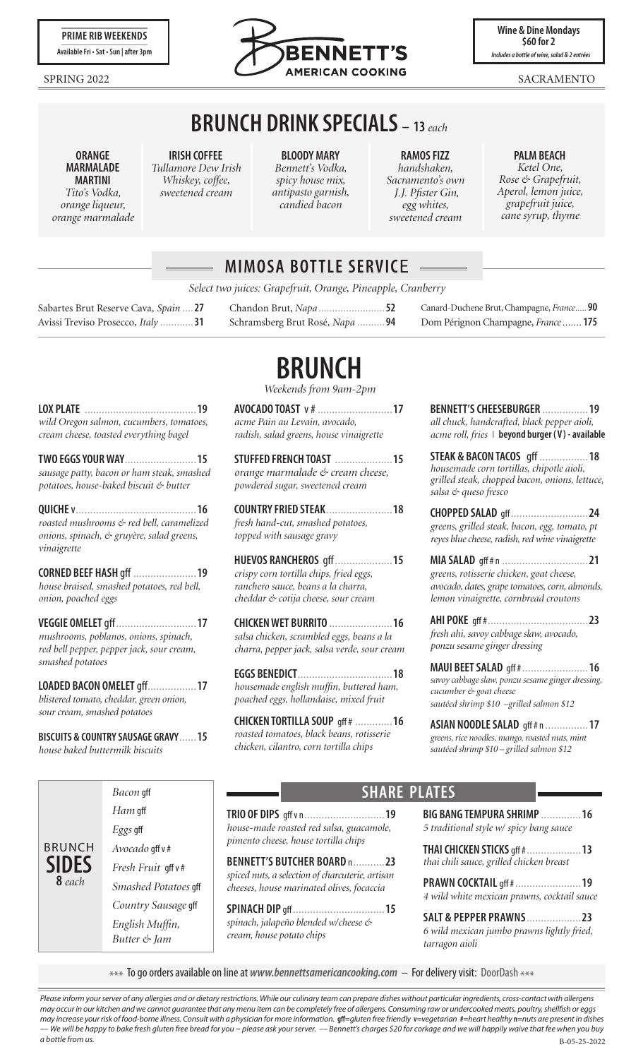

**Wine & Dine Mondays \$60 for 2** *Includes a bottle of wine, salad & 2 entrées*

# **BRUNCH DRINK SPECIALS – <sup>13</sup>***each*

**ORANGE MARMALADE MARTINI** *Tito's Vodka, orange liqueur, orange marmalade*

#### **IRISH COFFEE** *Tullamore Dew Irish Whiskey, coffee,*

*sweetened cream*

**BLOODY MARY** *Bennett's Vodka, spicy house mix, antipasto garnish, candied bacon*

**RAMOS FIZZ** *handshaken, Sacramento's own J.J. Pfister Gin, egg whites, sweetened cream*

#### **PALM BEACH**

*Ketel One, Rose & Grapefruit, Aperol, lemon juice, grapefruit juice, cane syrup, thyme*

### **MIMOSA BOTTLE SERVIC**E

*Select two juices: Grapefruit, Orange, Pineapple, Cranberry*

Sabartes Brut Reserve Cava*, Spain ....* **27** Avissi Treviso Prosecco*, Italy ............* **31**

**LOX PLATE** .......................................**19** *wild Oregon salmon, cucumbers, tomatoes, cream cheese, toasted everything bagel*

**TWO EGGS YOUR WAY**.........................**15** *sausage patty, bacon or ham steak, smashed potatoes, house-baked biscuit & butter*

**QUICHE** v..........................................**16** *roasted mushrooms & red bell, caramelized onions, spinach, & gruyère, salad greens,* 

**CORNED BEEF HASH** gff ......................**19** *house braised, smashed potatoes, red bell,* 

**VEGGIE OMELET** gff............................**17** *mushrooms, poblanos, onions, spinach, red bell pepper, pepper jack, sour cream,* 

**LOADED BACON OMELET** gff.................**17** *blistered tomato, cheddar, green onion,*

**BISCUITS & COUNTRY SAUSAGE GRAVY**......**15**

*vinaigrette*

*onion, poached eggs*

*smashed potatoes*

BRUNCH **SIDES 8** *each*

*sour cream, smashed potatoes*

*house baked buttermilk biscuits*

# **BRUNCH**

*Weekends from 9am-2pm*

**AVOCADO TOAST** v #..........................**17** *acme Pain au Levain, avocado, radish, salad greens, house vinaigrette*

**STUFFED FRENCH TOAST** ....................**15** *orange marmalade & cream cheese, powdered sugar, sweetened cream*

**COUNTRY FRIED STEAK**.......................**18** *fresh hand-cut, smashed potatoes, topped with sausage gravy*

**HUEVOS RANCHEROS** gff....................**15** *crispy corn tortilla chips, fried eggs, ranchero sauce, beans a la charra, cheddar & cotija cheese, sour cream*

**CHICKEN WET BURRITO .**.....................**16** *salsa chicken, scrambled eggs, beans a la charra, pepper jack, salsa verde, sour cream*

**EGGS BENEDICT**.................................**18** *housemade english muffin, buttered ham, poached eggs, hollandaise, mixed fruit*

**CHICKEN TORTILLA SOUP** gff # .............**16** *roasted tomatoes, black beans, rotisserie chicken, cilantro, corn tortilla chips*

| BENNETT'S CHEESEBURGER  19                       |  |
|--------------------------------------------------|--|
| all chuck, handcrafted, black pepper aioli,      |  |
| acme roll, fries   beyond burger (V) - available |  |

Canard-Duchene Brut, Champagne, *France.....* **90** Dom Pérignon Champagne, *France.......* **175**

**STEAK & BACON TACOS** gff .................**18** *housemade corn tortillas, chipotle aioli, grilled steak, chopped bacon, onions, lettuce, salsa & queso fresco*

**CHOPPED SALAD** gff...........................**24** *greens, grilled steak, bacon, egg, tomato, pt reyes blue cheese, radish, red wine vinaigrette*

**MIA SALAD** gff # n ..............................**21** *greens, rotisserie chicken, goat cheese, avocado, dates, grape tomatoes, corn, almonds, lemon vinaigrette, cornbread croutons*

**AHI POKE** gff #...................................**23** *fresh ahi, savoy cabbage slaw, avocado, ponzu sesame ginger dressing*

**MAUI BEET SALAD** gff #.......................**16** *savoy cabbage slaw, ponzu sesame ginger dressing, cucumber & goat cheese sautéed shrimp \$10 –grilled salmon \$12*

**ASIAN NOODLE SALAD** gff # n ...............**17** *greens, rice noodles, mango, roasted nuts, mint sautéed shrimp \$10 – grilled salmon \$12*

*Bacon* gff *Ham* gff *Eggs* gff *Avocado* gff v # *Fresh Fruit* gff v # *Smashed Potatoes* gff *Country Sausage* gff *English Muffin, Butter & Jam*

### **SHARE PLATES**

**TRIO OF DIPS** gff v n............................**19** *house-made roasted red salsa, guacamole, pimento cheese, house tortilla chips*

**BENNETT'S BUTCHER BOARD** n...........**23** *spiced nuts, a selection of charcuterie, artisan cheeses, house marinated olives, focaccia*

**SPINACH DIP** gff................................**15** *spinach, jalapeño blended w/cheese & cream, house potato chips*

**BIG BANG TEMPURA SHRIMP** ..............**16** *5 traditional style w/ spicy bang sauce*

**THAI CHICKEN STICKS** gff #...................**13** *thai chili sauce, grilled chicken breast*

**PRAWN COCKTAIL** gff #.......................**19** *4 wild white mexican prawns, cocktail sauce*

**SALT & PEPPER PRAWNS**...................**23** *6 wild mexican jumbo prawns lightly fried, tarragon aioli*

\*\*\* To go orders available on line at *www.bennettsamericancooking.com* – For delivery visit: DoorDash \*\*\*

B-05-25-2022 *Please inform your server of any allergies and or dietary restrictions. While our culinary team can prepare dishes without particular ingredients, cross-contact with allergens may occur in our kitchen and we cannot guarantee that any menu item can be completely free of allergens. Consuming raw or undercooked meats, poultry, shellfish or eggs*  may increase your risk of food-borne illness. Consult with a physician for more information. gff=gluten free friendly v=vegetarian #=heart healthy n=nuts are present in dishes *–– We will be happy to bake fresh gluten free bread for you ~ please ask your server. –– Bennett's charges \$20 for corkage and we will happily waive that fee when you buy a bottle from us.*

Chandon Brut, *Napa ........................* **52** Schramsberg Brut Rosé*, Napa ..........* **94**